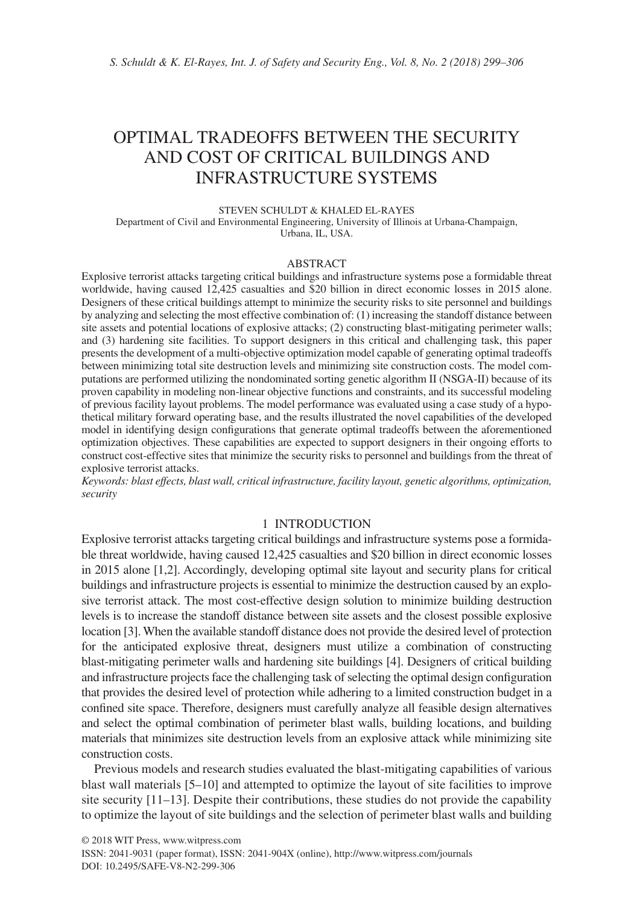# OPTIMAL TRADEOFFS BETWEEN THE SECURITY AND COST OF CRITICAL BUILDINGS AND INFRASTRUCTURE SYSTEMS

STEVEN SCHULDT & KHALED EL-RAYES

Department of Civil and Environmental Engineering, University of Illinois at Urbana-Champaign, Urbana, IL, USA.

#### ABSTRACT

Explosive terrorist attacks targeting critical buildings and infrastructure systems pose a formidable threat worldwide, having caused 12,425 casualties and \$20 billion in direct economic losses in 2015 alone. Designers of these critical buildings attempt to minimize the security risks to site personnel and buildings by analyzing and selecting the most effective combination of: (1) increasing the standoff distance between site assets and potential locations of explosive attacks; (2) constructing blast-mitigating perimeter walls; and (3) hardening site facilities. To support designers in this critical and challenging task, this paper presents the development of a multi-objective optimization model capable of generating optimal tradeoffs between minimizing total site destruction levels and minimizing site construction costs. The model computations are performed utilizing the nondominated sorting genetic algorithm II (NSGA-II) because of its proven capability in modeling non-linear objective functions and constraints, and its successful modeling of previous facility layout problems. The model performance was evaluated using a case study of a hypothetical military forward operating base, and the results illustrated the novel capabilities of the developed model in identifying design configurations that generate optimal tradeoffs between the aforementioned optimization objectives. These capabilities are expected to support designers in their ongoing efforts to construct cost-effective sites that minimize the security risks to personnel and buildings from the threat of explosive terrorist attacks.

*Keywords: blast effects, blast wall, critical infrastructure, facility layout, genetic algorithms, optimization, security*

# 1 INTRODUCTION

Explosive terrorist attacks targeting critical buildings and infrastructure systems pose a formidable threat worldwide, having caused 12,425 casualties and \$20 billion in direct economic losses in 2015 alone [1,2]. Accordingly, developing optimal site layout and security plans for critical buildings and infrastructure projects is essential to minimize the destruction caused by an explosive terrorist attack. The most cost-effective design solution to minimize building destruction levels is to increase the standoff distance between site assets and the closest possible explosive location [3]. When the available standoff distance does not provide the desired level of protection for the anticipated explosive threat, designers must utilize a combination of constructing blast-mitigating perimeter walls and hardening site buildings [4]. Designers of critical building and infrastructure projects face the challenging task of selecting the optimal design configuration that provides the desired level of protection while adhering to a limited construction budget in a confined site space. Therefore, designers must carefully analyze all feasible design alternatives and select the optimal combination of perimeter blast walls, building locations, and building materials that minimizes site destruction levels from an explosive attack while minimizing site construction costs.

Previous models and research studies evaluated the blast-mitigating capabilities of various blast wall materials [5–10] and attempted to optimize the layout of site facilities to improve site security [11–13]. Despite their contributions, these studies do not provide the capability to optimize the layout of site buildings and the selection of perimeter blast walls and building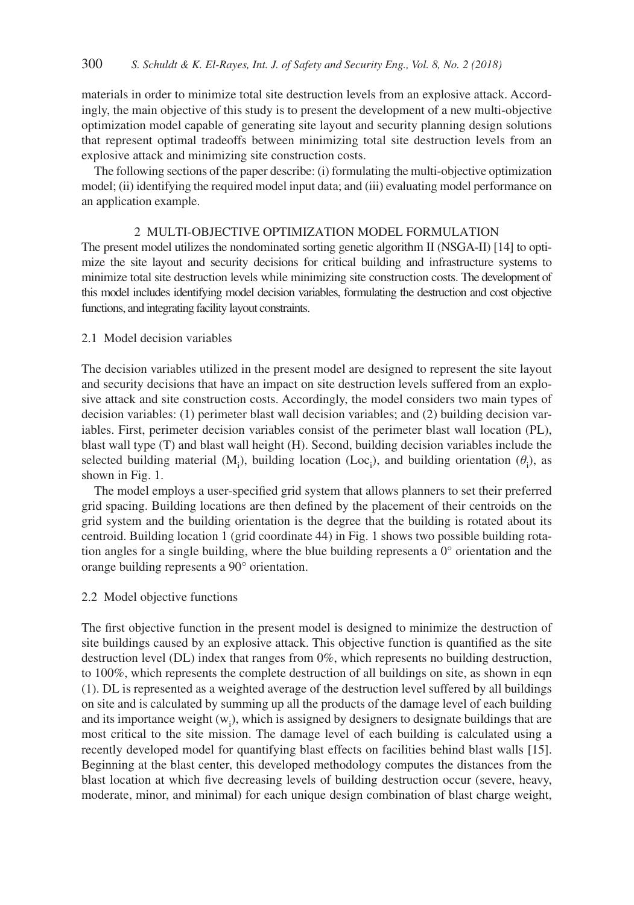materials in order to minimize total site destruction levels from an explosive attack. Accordingly, the main objective of this study is to present the development of a new multi-objective optimization model capable of generating site layout and security planning design solutions that represent optimal tradeoffs between minimizing total site destruction levels from an explosive attack and minimizing site construction costs.

The following sections of the paper describe: (i) formulating the multi-objective optimization model; (ii) identifying the required model input data; and (iii) evaluating model performance on an application example.

#### 2 MULTI-OBJECTIVE OPTIMIZATION MODEL FORMULATION

The present model utilizes the nondominated sorting genetic algorithm II (NSGA-II) [14] to optimize the site layout and security decisions for critical building and infrastructure systems to minimize total site destruction levels while minimizing site construction costs. The development of this model includes identifying model decision variables, formulating the destruction and cost objective functions, and integrating facility layout constraints.

# 2.1 Model decision variables

The decision variables utilized in the present model are designed to represent the site layout and security decisions that have an impact on site destruction levels suffered from an explosive attack and site construction costs. Accordingly, the model considers two main types of decision variables: (1) perimeter blast wall decision variables; and (2) building decision variables. First, perimeter decision variables consist of the perimeter blast wall location (PL), blast wall type (T) and blast wall height (H). Second, building decision variables include the selected building material  $(M_i)$ , building location (Loc<sub>i</sub>), and building orientation ( $\theta_i$ ), as shown in Fig. 1.

The model employs a user-specified grid system that allows planners to set their preferred grid spacing. Building locations are then defined by the placement of their centroids on the grid system and the building orientation is the degree that the building is rotated about its centroid. Building location 1 (grid coordinate 44) in Fig. 1 shows two possible building rotation angles for a single building, where the blue building represents a  $0^{\circ}$  orientation and the orange building represents a 90° orientation.

#### 2.2 Model objective functions

The first objective function in the present model is designed to minimize the destruction of site buildings caused by an explosive attack. This objective function is quantified as the site destruction level (DL) index that ranges from 0%, which represents no building destruction, to 100%, which represents the complete destruction of all buildings on site, as shown in eqn (1). DL is represented as a weighted average of the destruction level suffered by all buildings on site and is calculated by summing up all the products of the damage level of each building and its importance weight  $(w_i)$ , which is assigned by designers to designate buildings that are most critical to the site mission. The damage level of each building is calculated using a recently developed model for quantifying blast effects on facilities behind blast walls [15]. Beginning at the blast center, this developed methodology computes the distances from the blast location at which five decreasing levels of building destruction occur (severe, heavy, moderate, minor, and minimal) for each unique design combination of blast charge weight,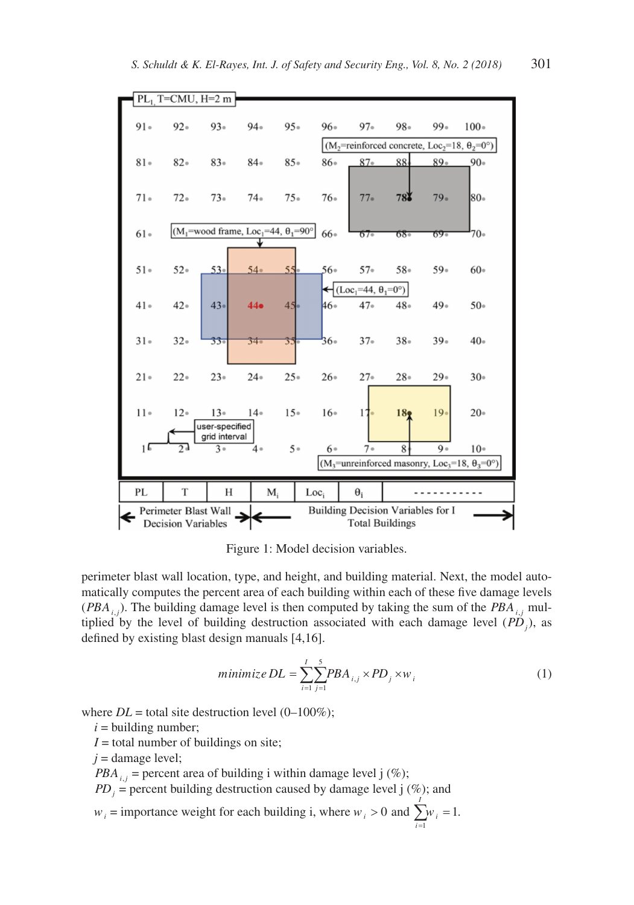

Figure 1: Model decision variables.

perimeter blast wall location, type, and height, and building material. Next, the model automatically computes the percent area of each building within each of these five damage levels  $(PBA<sub>i</sub>$ ). The building damage level is then computed by taking the sum of the  $PBA<sub>i</sub>$ , multiplied by the level of building destruction associated with each damage level  $(PD_j)$ , as defined by existing blast design manuals [4,16].

$$
minimize DL = \sum_{i=1}^{I} \sum_{j=1}^{5} PBA_{i,j} \times PD_j \times w_i
$$
 (1)

where  $DL$  = total site destruction level (0–100%);

 $i =$  building number;

 $I =$  total number of buildings on site;

 $j =$  damage level;

*PBA*<sub>*i,i*</sub> = percent area of building i within damage level j (%);

 $PD_j$  = percent building destruction caused by damage level j  $(\%)$ ; and

 $w_i$  = importance weight for each building i, where  $w_i > 0$  and  $\sum_{i=1}^{n} w_i = 1$ . *i I* =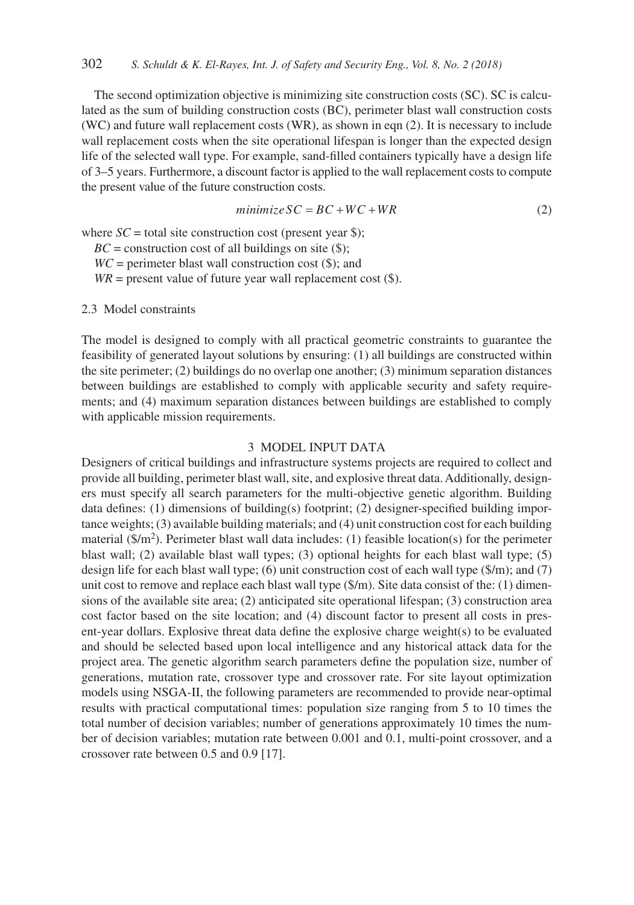The second optimization objective is minimizing site construction costs (SC). SC is calculated as the sum of building construction costs (BC), perimeter blast wall construction costs (WC) and future wall replacement costs (WR), as shown in eqn (2). It is necessary to include wall replacement costs when the site operational lifespan is longer than the expected design life of the selected wall type. For example, sand-filled containers typically have a design life of 3–5 years. Furthermore, a discount factor is applied to the wall replacement costs to compute the present value of the future construction costs.

$$
minimize SC = BC + WC + WR \tag{2}
$$

where  $SC =$  total site construction cost (present year \$);

 $BC =$  construction cost of all buildings on site  $(\$);$ 

 $WC =$  perimeter blast wall construction cost  $(\$)$ ; and

 $WR$  = present value of future year wall replacement cost  $(\$)$ .

2.3 Model constraints

The model is designed to comply with all practical geometric constraints to guarantee the feasibility of generated layout solutions by ensuring: (1) all buildings are constructed within the site perimeter; (2) buildings do no overlap one another; (3) minimum separation distances between buildings are established to comply with applicable security and safety requirements; and (4) maximum separation distances between buildings are established to comply with applicable mission requirements.

## 3 MODEL INPUT DATA

Designers of critical buildings and infrastructure systems projects are required to collect and provide all building, perimeter blast wall, site, and explosive threat data. Additionally, designers must specify all search parameters for the multi-objective genetic algorithm. Building data defines: (1) dimensions of building(s) footprint; (2) designer-specified building importance weights; (3) available building materials; and (4) unit construction cost for each building material ( $\gamma/m^2$ ). Perimeter blast wall data includes: (1) feasible location(s) for the perimeter blast wall; (2) available blast wall types; (3) optional heights for each blast wall type; (5) design life for each blast wall type; (6) unit construction cost of each wall type  $(\frac{m}{2})$ ; and (7) unit cost to remove and replace each blast wall type (\$/m). Site data consist of the: (1) dimensions of the available site area; (2) anticipated site operational lifespan; (3) construction area cost factor based on the site location; and (4) discount factor to present all costs in present-year dollars. Explosive threat data define the explosive charge weight(s) to be evaluated and should be selected based upon local intelligence and any historical attack data for the project area. The genetic algorithm search parameters define the population size, number of generations, mutation rate, crossover type and crossover rate. For site layout optimization models using NSGA-II, the following parameters are recommended to provide near-optimal results with practical computational times: population size ranging from 5 to 10 times the total number of decision variables; number of generations approximately 10 times the number of decision variables; mutation rate between 0.001 and 0.1, multi-point crossover, and a crossover rate between 0.5 and 0.9 [17].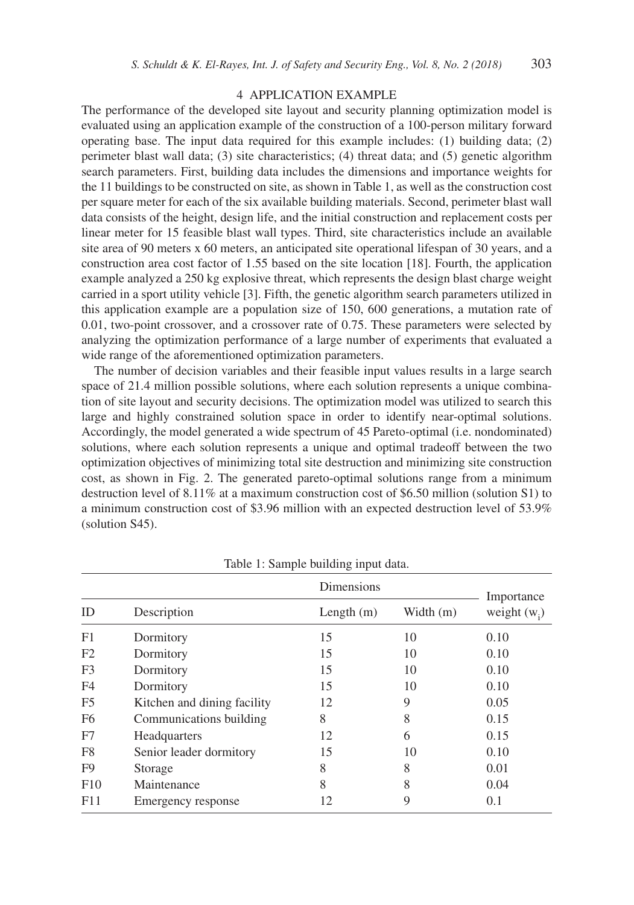#### 4 APPLICATION EXAMPLE

The performance of the developed site layout and security planning optimization model is evaluated using an application example of the construction of a 100-person military forward operating base. The input data required for this example includes: (1) building data; (2) perimeter blast wall data; (3) site characteristics; (4) threat data; and (5) genetic algorithm search parameters. First, building data includes the dimensions and importance weights for the 11 buildings to be constructed on site, as shown in Table 1, as well as the construction cost per square meter for each of the six available building materials. Second, perimeter blast wall data consists of the height, design life, and the initial construction and replacement costs per linear meter for 15 feasible blast wall types. Third, site characteristics include an available site area of 90 meters x 60 meters, an anticipated site operational lifespan of 30 years, and a construction area cost factor of 1.55 based on the site location [18]. Fourth, the application example analyzed a 250 kg explosive threat, which represents the design blast charge weight carried in a sport utility vehicle [3]. Fifth, the genetic algorithm search parameters utilized in this application example are a population size of 150, 600 generations, a mutation rate of 0.01, two-point crossover, and a crossover rate of 0.75. These parameters were selected by analyzing the optimization performance of a large number of experiments that evaluated a wide range of the aforementioned optimization parameters.

The number of decision variables and their feasible input values results in a large search space of 21.4 million possible solutions, where each solution represents a unique combination of site layout and security decisions. The optimization model was utilized to search this large and highly constrained solution space in order to identify near-optimal solutions. Accordingly, the model generated a wide spectrum of 45 Pareto-optimal (i.e. nondominated) solutions, where each solution represents a unique and optimal tradeoff between the two optimization objectives of minimizing total site destruction and minimizing site construction cost, as shown in Fig. 2. The generated pareto-optimal solutions range from a minimum destruction level of 8.11% at a maximum construction cost of \$6.50 million (solution S1) to a minimum construction cost of \$3.96 million with an expected destruction level of 53.9% (solution S45).

|                | x                           |              |             |                |  |
|----------------|-----------------------------|--------------|-------------|----------------|--|
|                | Description                 | Dimensions   |             | Importance     |  |
| ID             |                             | Length $(m)$ | Width $(m)$ | weight $(w_i)$ |  |
| F1             | Dormitory                   | 15           | 10          | 0.10           |  |
| F2             | Dormitory                   | 15           | 10          | 0.10           |  |
| F <sub>3</sub> | Dormitory                   | 15           | 10          | 0.10           |  |
| F <sub>4</sub> | Dormitory                   | 15           | 10          | 0.10           |  |
| F <sub>5</sub> | Kitchen and dining facility | 12           | 9           | 0.05           |  |
| F <sub>6</sub> | Communications building     | 8            | 8           | 0.15           |  |
| F7             | <b>Headquarters</b>         | 12           | 6           | 0.15           |  |
| F8             | Senior leader dormitory     | 15           | 10          | 0.10           |  |
| F9             | Storage                     | 8            | 8           | 0.01           |  |
| F10            | Maintenance                 | 8            | 8           | 0.04           |  |
| F11            | Emergency response          | 12           | 9           | 0.1            |  |

Table 1: Sample building input data.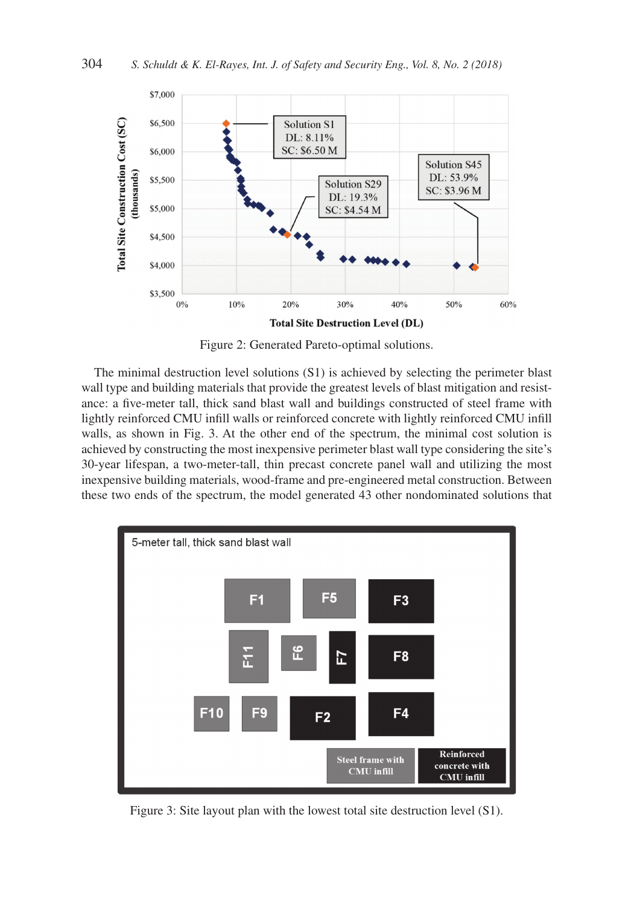

Figure 2: Generated Pareto-optimal solutions.

The minimal destruction level solutions (S1) is achieved by selecting the perimeter blast wall type and building materials that provide the greatest levels of blast mitigation and resistance: a five-meter tall, thick sand blast wall and buildings constructed of steel frame with lightly reinforced CMU infill walls or reinforced concrete with lightly reinforced CMU infill walls, as shown in Fig. 3. At the other end of the spectrum, the minimal cost solution is achieved by constructing the most inexpensive perimeter blast wall type considering the site's 30-year lifespan, a two-meter-tall, thin precast concrete panel wall and utilizing the most inexpensive building materials, wood-frame and pre-engineered metal construction. Between these two ends of the spectrum, the model generated 43 other nondominated solutions that



Figure 3: Site layout plan with the lowest total site destruction level (S1).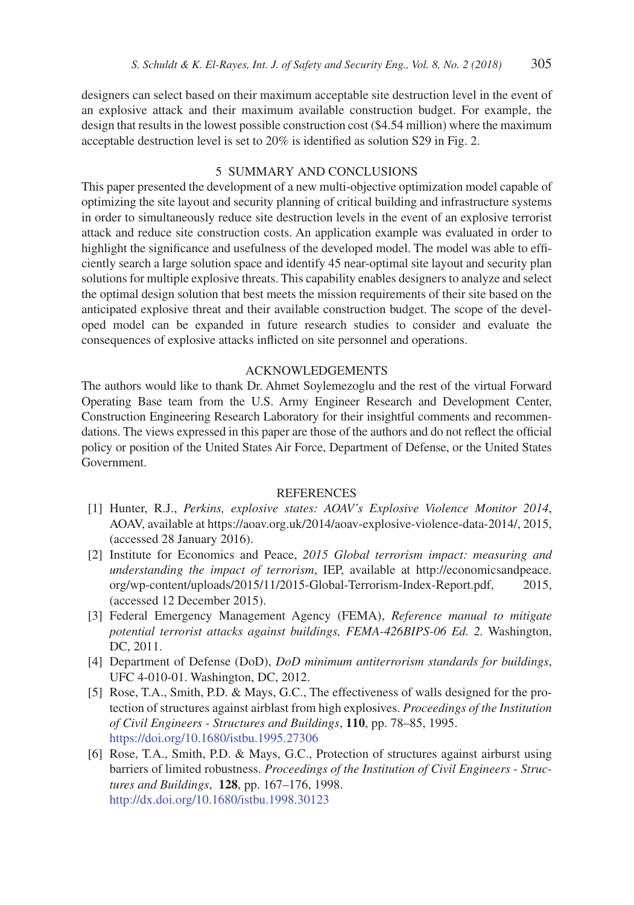designers can select based on their maximum acceptable site destruction level in the event of an explosive attack and their maximum available construction budget. For example, the design that results in the lowest possible construction cost (\$4.54 million) where the maximum acceptable destruction level is set to 20% is identified as solution S29 in Fig. 2.

# 5 SUMMARY AND CONCLUSIONS

This paper presented the development of a new multi-objective optimization model capable of optimizing the site layout and security planning of critical building and infrastructure systems in order to simultaneously reduce site destruction levels in the event of an explosive terrorist attack and reduce site construction costs. An application example was evaluated in order to highlight the significance and usefulness of the developed model. The model was able to efficiently search a large solution space and identify 45 near-optimal site layout and security plan solutions for multiple explosive threats. This capability enables designers to analyze and select the optimal design solution that best meets the mission requirements of their site based on the anticipated explosive threat and their available construction budget. The scope of the developed model can be expanded in future research studies to consider and evaluate the consequences of explosive attacks inflicted on site personnel and operations.

#### ACKNOWLEDGEMENTS

The authors would like to thank Dr. Ahmet Soylemezoglu and the rest of the virtual Forward Operating Base team from the U.S. Army Engineer Research and Development Center, Construction Engineering Research Laboratory for their insightful comments and recommendations. The views expressed in this paper are those of the authors and do not reflect the official policy or position of the United States Air Force, Department of Defense, or the United States Government.

## **REFERENCES**

- [1] Hunter, R.J., *Perkins, explosive states: AOAV's Explosive Violence Monitor 2014*, AOAV, available at https://aoav.org.uk/2014/aoav-explosive-violence-data-2014/, 2015, (accessed 28 January 2016).
- [2] Institute for Economics and Peace, *2015 Global terrorism impact: measuring and understanding the impact of terrorism*, IEP, available at http://economicsandpeace. org/wp-content/uploads/2015/11/2015-Global-Terrorism-Index-Report.pdf, 2015, (accessed 12 December 2015).
- [3] Federal Emergency Management Agency (FEMA), *Reference manual to mitigate potential terrorist attacks against buildings, FEMA-426BIPS-06 Ed. 2.* Washington, DC, 2011.
- [4] Department of Defense (DoD), *DoD minimum antiterrorism standards for buildings*, UFC 4-010-01. Washington, DC, 2012.
- [5] Rose, T.A., Smith, P.D. & Mays, G.C., The effectiveness of walls designed for the protection of structures against airblast from high explosives. *Proceedings of the Institution of Civil Engineers - Structures and Buildings*, **110**, pp. 78–85, 1995. https://doi.org/10.1680/istbu.1995.27306
- [6] Rose, T.A., Smith, P.D. & Mays, G.C., Protection of structures against airburst using barriers of limited robustness. *Proceedings of the Institution of Civil Engineers - Structures and Buildings*, **128**, pp. 167–176, 1998. http://dx.doi.org/10.1680/istbu.1998.30123